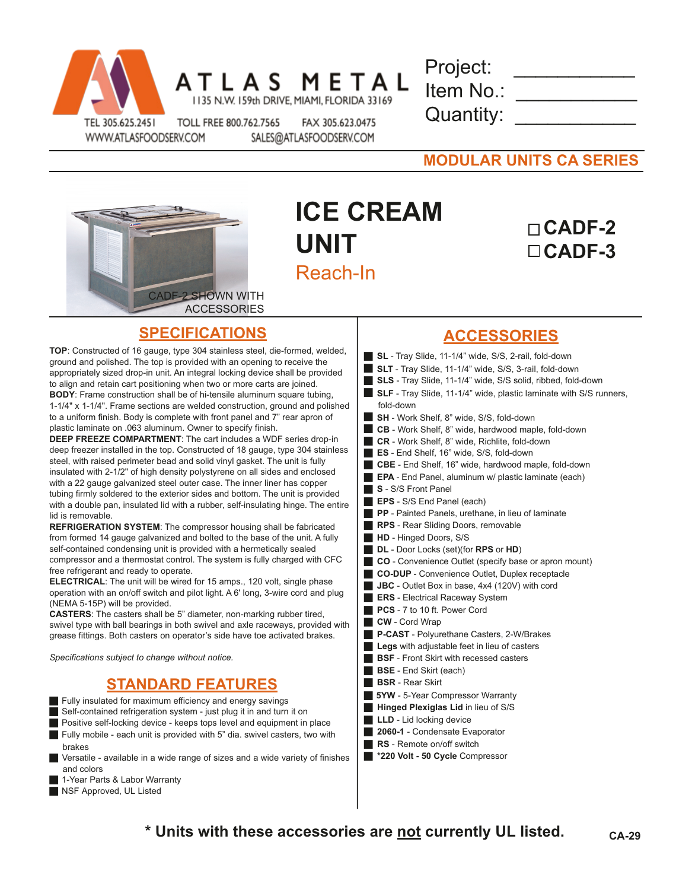

|  | A S |                                             | META |  |
|--|-----|---------------------------------------------|------|--|
|  |     | 1135 N.W. 159th DRIVE, MIAMI, FLORIDA 33169 |      |  |

| Project:  |  |
|-----------|--|
| Item No.: |  |
| Quantity: |  |

WWW.ATLASFOODSERV.COM

Д

TOLL FREE 800.762.7565 FAX 305.623.0475 SALES@ATLASFOODSERV.COM

| <b>MODULAR UNITS CA SERIES</b> |
|--------------------------------|
|--------------------------------|



## **ICE CREAM UNIT** Reach-In

## **CADF-2 CADF-3**

## **SPECIFICATIONS**

**TOP**: Constructed of 16 gauge, type 304 stainless steel, die-formed, welded, ground and polished. The top is provided with an opening to receive the appropriately sized drop-in unit. An integral locking device shall be provided to align and retain cart positioning when two or more carts are joined. **BODY**: Frame construction shall be of hi-tensile aluminum square tubing, 1-1/4" x 1-1/4". Frame sections are welded construction, ground and polished to a uniform finish. Body is complete with front panel and 7" rear apron of plastic laminate on .063 aluminum. Owner to specify finish.

**DEEP FREEZE COMPARTMENT**: The cart includes a WDF series drop-in deep freezer installed in the top. Constructed of 18 gauge, type 304 stainless steel, with raised perimeter bead and solid vinyl gasket. The unit is fully insulated with 2-1/2" of high density polystyrene on all sides and enclosed with a 22 gauge galvanized steel outer case. The inner liner has copper tubing firmly soldered to the exterior sides and bottom. The unit is provided with a double pan, insulated lid with a rubber, self-insulating hinge. The entire lid is removable.

**REFRIGERATION SYSTEM**: The compressor housing shall be fabricated from formed 14 gauge galvanized and bolted to the base of the unit. A fully self-contained condensing unit is provided with a hermetically sealed compressor and a thermostat control. The system is fully charged with CFC free refrigerant and ready to operate.

**ELECTRICAL**: The unit will be wired for 15 amps., 120 volt, single phase operation with an on/off switch and pilot light. A 6' long, 3-wire cord and plug (NEMA 5-15P) will be provided.

**CASTERS**: The casters shall be 5" diameter, non-marking rubber tired, swivel type with ball bearings in both swivel and axle raceways, provided with grease fittings. Both casters on operator's side have toe activated brakes.

*Specifications subject to change without notice.*

## **STANDARD FEATURES**

 $\blacksquare$  Fully insulated for maximum efficiency and energy savings

Self-contained refrigeration system - just plug it in and turn it on

- Positive self-locking device keeps tops level and equipment in place Fully mobile - each unit is provided with 5" dia. swivel casters, two with brakes
- Versatile available in a wide range of sizes and a wide variety of finishes and colors
- 1-Year Parts & Labor Warranty
- NSF Approved, UL Listed
- **ACCESSORIES**
- **SL** Tray Slide, 11-1/4" wide, S/S, 2-rail, fold-down
- **SLT** Tray Slide, 11-1/4" wide, S/S, 3-rail, fold-down
- **SLS** Tray Slide, 11-1/4" wide, S/S solid, ribbed, fold-down
- **SLF** Tray Slide, 11-1/4" wide, plastic laminate with S/S runners, fold-down
- **SH** Work Shelf, 8" wide, S/S, fold-down
- **CB** Work Shelf, 8" wide, hardwood maple, fold-down
- **CR** Work Shelf, 8" wide, Richlite, fold-down
- **ES** End Shelf, 16" wide, S/S, fold-down
- **CBE** End Shelf, 16" wide, hardwood maple, fold-down
- **EPA** End Panel, aluminum w/ plastic laminate (each)
- **S** S/S Front Panel
- **EPS** S/S End Panel (each)
- **PP** Painted Panels, urethane, in lieu of laminate g **RPS** - Rear Sliding Doors, removable
- 
- **HD** Hinged Doors, S/S
- **DL** Door Locks (set)(for **RPS** or **HD**)
- **CO** Convenience Outlet (specify base or apron mount)
- **CO-DUP** Convenience Outlet, Duplex receptacle **JBC** - Outlet Box in base, 4x4 (120V) with cord
- **ERS** Electrical Raceway System
- **PCS** 7 to 10 ft. Power Cord
- g **CW**  Cord Wrap
- g **P-CAST** Polyurethane Casters, 2-W/Brakes
- Legs with adjustable feet in lieu of casters
- **BSF** Front Skirt with recessed casters
- **BSE** End Skirt (each)
- g **BSR** Rear Skirt
- **5YW** 5-Year Compressor Warranty
- **Hinged Plexiglas Lid** in lieu of S/S
- **LLD** Lid locking device
- **2060-1** Condensate Evaporator
- **RS** Remote on/off switch
- **220 Volt 50 Cycle Compressor**